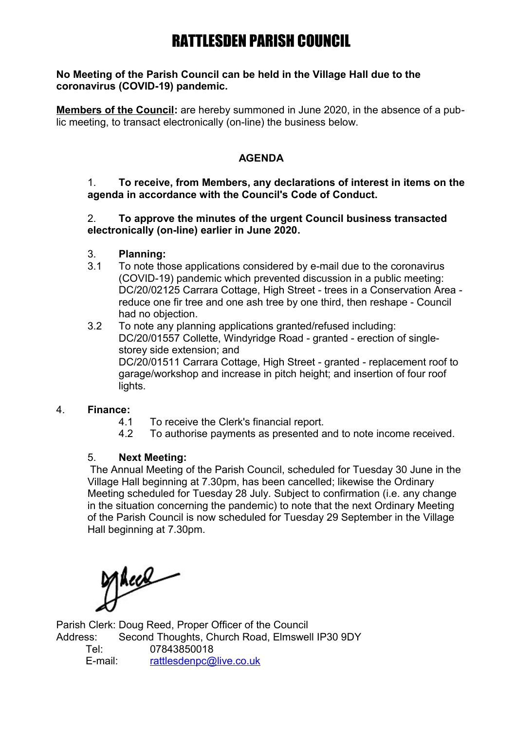# RATTLESDEN PARISH COUNCIL

#### **No Meeting of the Parish Council can be held in the Village Hall due to the coronavirus (COVID-19) pandemic.**

**Members of the Council:** are hereby summoned in June 2020, in the absence of a public meeting, to transact electronically (on-line) the business below.

### **AGENDA**

#### 1. **To receive, from Members, any declarations of interest in items on the agenda in accordance with the Council's Code of Conduct.**

#### 2. **To approve the minutes of the urgent Council business transacted electronically (on-line) earlier in June 2020.**

- 3. **Planning:**
- 3.1 To note those applications considered by e-mail due to the coronavirus (COVID-19) pandemic which prevented discussion in a public meeting: DC/20/02125 Carrara Cottage, High Street - trees in a Conservation Area reduce one fir tree and one ash tree by one third, then reshape - Council had no objection.
- 3.2 To note any planning applications granted/refused including: DC/20/01557 Collette, Windyridge Road - granted - erection of singlestorey side extension; and DC/20/01511 Carrara Cottage, High Street - granted - replacement roof to garage/workshop and increase in pitch height; and insertion of four roof lights.

## 4. **Finance:**

- 4.1 To receive the Clerk's financial report.
- 4.2 To authorise payments as presented and to note income received.

#### 5. **Next Meeting:**

The Annual Meeting of the Parish Council, scheduled for Tuesday 30 June in the Village Hall beginning at 7.30pm, has been cancelled; likewise the Ordinary Meeting scheduled for Tuesday 28 July. Subject to confirmation (i.e. any change in the situation concerning the pandemic) to note that the next Ordinary Meeting of the Parish Council is now scheduled for Tuesday 29 September in the Village Hall beginning at 7.30pm.

Mace

Parish Clerk: Doug Reed, Proper Officer of the Council Address: Second Thoughts, Church Road, Elmswell IP30 9DY Tel: 07843850018 E-mail: [rattlesdenpc@live.co.uk](mailto:rattlesdenpc@live.co.uk)